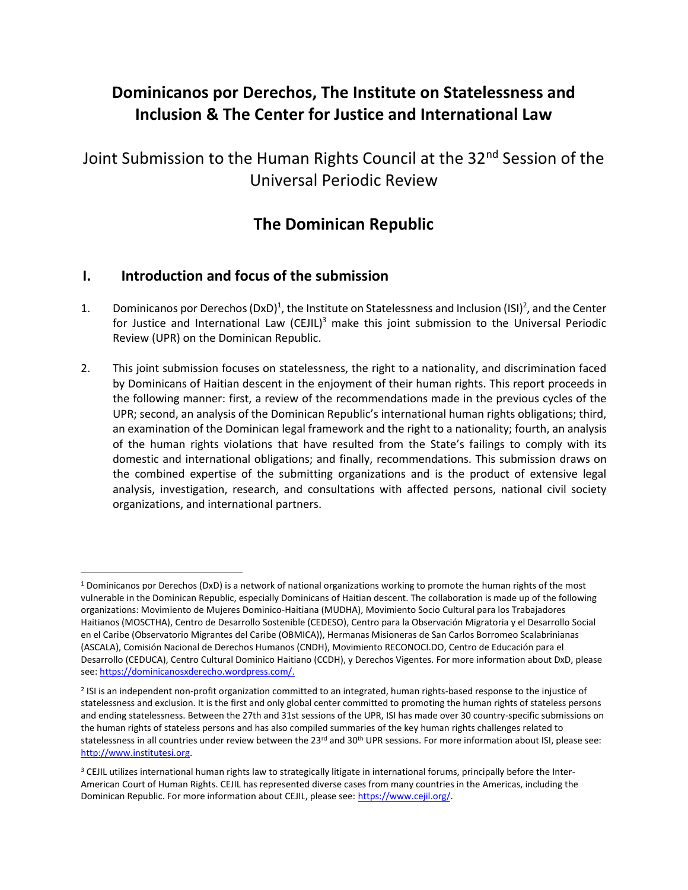# **Dominicanos por Derechos, The Institute on Statelessness and Inclusion & The Center for Justice and International Law**

Joint Submission to the Human Rights Council at the 32<sup>nd</sup> Session of the Universal Periodic Review

## **The Dominican Republic**

#### **I. Introduction and focus of the submission**

- 1. Dominicanos por Derechos (DxD)<sup>1</sup>, the Institute on Statelessness and Inclusion (ISI)<sup>2</sup>, and the Center for Justice and International Law (CEJIL)<sup>3</sup> make this joint submission to the Universal Periodic Review (UPR) on the Dominican Republic.
- 2. This joint submission focuses on statelessness, the right to a nationality, and discrimination faced by Dominicans of Haitian descent in the enjoyment of their human rights. This report proceeds in the following manner: first, a review of the recommendations made in the previous cycles of the UPR; second, an analysis of the Dominican Republic's international human rights obligations; third, an examination of the Dominican legal framework and the right to a nationality; fourth, an analysis of the human rights violations that have resulted from the State's failings to comply with its domestic and international obligations; and finally, recommendations. This submission draws on the combined expertise of the submitting organizations and is the product of extensive legal analysis, investigation, research, and consultations with affected persons, national civil society organizations, and international partners.

 $1$  Dominicanos por Derechos (DxD) is a network of national organizations working to promote the human rights of the most vulnerable in the Dominican Republic, especially Dominicans of Haitian descent. The collaboration is made up of the following organizations: Movimiento de Mujeres Dominico-Haitiana (MUDHA), Movimiento Socio Cultural para los Trabajadores Haitianos (MOSCTHA), Centro de Desarrollo Sostenible (CEDESO), Centro para la Observación Migratoria y el Desarrollo Social en el Caribe (Observatorio Migrantes del Caribe (OBMICA)), Hermanas Misioneras de San Carlos Borromeo Scalabrinianas (ASCALA), Comisión Nacional de Derechos Humanos (CNDH), Movimiento RECONOCI.DO, Centro de Educación para el Desarrollo (CEDUCA), Centro Cultural Dominico Haitiano (CCDH), y Derechos Vigentes. For more information about DxD, please see: [https://dominicanosxderecho.wordpress.com/.](https://dominicanosxderecho.wordpress.com/)

<sup>&</sup>lt;sup>2</sup> ISI is an independent non-profit organization committed to an integrated, human rights-based response to the injustice of statelessness and exclusion. It is the first and only global center committed to promoting the human rights of stateless persons and ending statelessness. Between the 27th and 31st sessions of the UPR, ISI has made over 30 country-specific submissions on the human rights of stateless persons and has also compiled summaries of the key human rights challenges related to statelessness in all countries under review between the 23<sup>rd</sup> and 30<sup>th</sup> UPR sessions. For more information about ISI, please see: [http://www.institutesi.org.](http://www.institutesi.org/)

<sup>3</sup> CEJIL utilizes international human rights law to strategically litigate in international forums, principally before the Inter-American Court of Human Rights. CEJIL has represented diverse cases from many countries in the Americas, including the Dominican Republic. For more information about CEJIL, please see[: https://www.cejil.org/.](https://www.cejil.org/)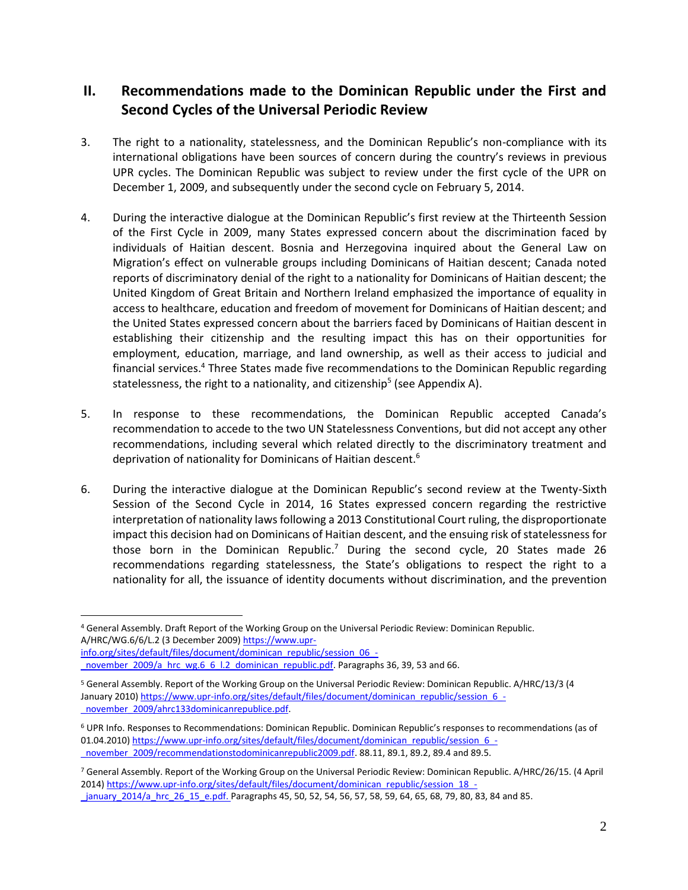#### **II. Recommendations made to the Dominican Republic under the First and Second Cycles of the Universal Periodic Review**

- 3. The right to a nationality, statelessness, and the Dominican Republic's non-compliance with its international obligations have been sources of concern during the country's reviews in previous UPR cycles. The Dominican Republic was subject to review under the first cycle of the UPR on December 1, 2009, and subsequently under the second cycle on February 5, 2014.
- 4. During the interactive dialogue at the Dominican Republic's first review at the Thirteenth Session of the First Cycle in 2009, many States expressed concern about the discrimination faced by individuals of Haitian descent. Bosnia and Herzegovina inquired about the General Law on Migration's effect on vulnerable groups including Dominicans of Haitian descent; Canada noted reports of discriminatory denial of the right to a nationality for Dominicans of Haitian descent; the United Kingdom of Great Britain and Northern Ireland emphasized the importance of equality in access to healthcare, education and freedom of movement for Dominicans of Haitian descent; and the United States expressed concern about the barriers faced by Dominicans of Haitian descent in establishing their citizenship and the resulting impact this has on their opportunities for employment, education, marriage, and land ownership, as well as their access to judicial and financial services.<sup>4</sup> Three States made five recommendations to the Dominican Republic regarding statelessness, the right to a nationality, and citizenship<sup>5</sup> (see Appendix A).
- 5. In response to these recommendations, the Dominican Republic accepted Canada's recommendation to accede to the two UN Statelessness Conventions, but did not accept any other recommendations, including several which related directly to the discriminatory treatment and deprivation of nationality for Dominicans of Haitian descent.<sup>6</sup>
- 6. During the interactive dialogue at the Dominican Republic's second review at the Twenty-Sixth Session of the Second Cycle in 2014, 16 States expressed concern regarding the restrictive interpretation of nationality laws following a 2013 Constitutional Court ruling, the disproportionate impact this decision had on Dominicans of Haitian descent, and the ensuing risk of statelessness for those born in the Dominican Republic.<sup>7</sup> During the second cycle, 20 States made 26 recommendations regarding statelessness, the State's obligations to respect the right to a nationality for all, the issuance of identity documents without discrimination, and the prevention

<sup>4</sup> General Assembly. Draft Report of the Working Group on the Universal Periodic Review: Dominican Republic. A/HRC/WG.6/6/L.2 (3 December 2009[\) https://www.upr](https://www.upr-info.org/sites/default/files/document/dominican_republic/session_06_-_november_2009/a_hrc_wg.6_6_l.2_dominican_republic.pdf)[info.org/sites/default/files/document/dominican\\_republic/session\\_06\\_-](https://www.upr-info.org/sites/default/files/document/dominican_republic/session_06_-_november_2009/a_hrc_wg.6_6_l.2_dominican_republic.pdf)

[\\_november\\_2009/a\\_hrc\\_wg.6\\_6\\_l.2\\_dominican\\_republic.pdf.](https://www.upr-info.org/sites/default/files/document/dominican_republic/session_06_-_november_2009/a_hrc_wg.6_6_l.2_dominican_republic.pdf) Paragraphs 36, 39, 53 and 66.

<sup>5</sup> General Assembly. Report of the Working Group on the Universal Periodic Review: Dominican Republic. A/HRC/13/3 (4 January 2010[\) https://www.upr-info.org/sites/default/files/document/dominican\\_republic/session\\_6\\_-](https://www.upr-info.org/sites/default/files/document/dominican_republic/session_6_-_november_2009/ahrc133dominicanrepublice.pdf) [\\_november\\_2009/ahrc133dominicanrepublice.pdf.](https://www.upr-info.org/sites/default/files/document/dominican_republic/session_6_-_november_2009/ahrc133dominicanrepublice.pdf)

<sup>6</sup> UPR Info. Responses to Recommendations: Dominican Republic. Dominican Republic's responses to recommendations (as of 01.04.2010) [https://www.upr-info.org/sites/default/files/document/dominican\\_republic/session\\_6\\_](https://www.upr-info.org/sites/default/files/document/dominican_republic/session_6_-_november_2009/recommendationstodominicanrepublic2009.pdf) november\_2009/recommendationstodominicanrepublic2009.pdf. 88.11, 89.1, 89.2, 89.4 and 89.5.

<sup>7</sup> General Assembly. Report of the Working Group on the Universal Periodic Review: Dominican Republic. A/HRC/26/15. (4 April 2014[\) https://www.upr-info.org/sites/default/files/document/dominican\\_republic/session\\_18\\_-](https://www.upr-info.org/sites/default/files/document/dominican_republic/session_18_-_january_2014/a_hrc_26_15_e.pdf) [\\_january\\_2014/a\\_hrc\\_26\\_15\\_e.pdf.](https://www.upr-info.org/sites/default/files/document/dominican_republic/session_18_-_january_2014/a_hrc_26_15_e.pdf) Paragraphs 45, 50, 52, 54, 56, 57, 58, 59, 64, 65, 68, 79, 80, 83, 84 and 85.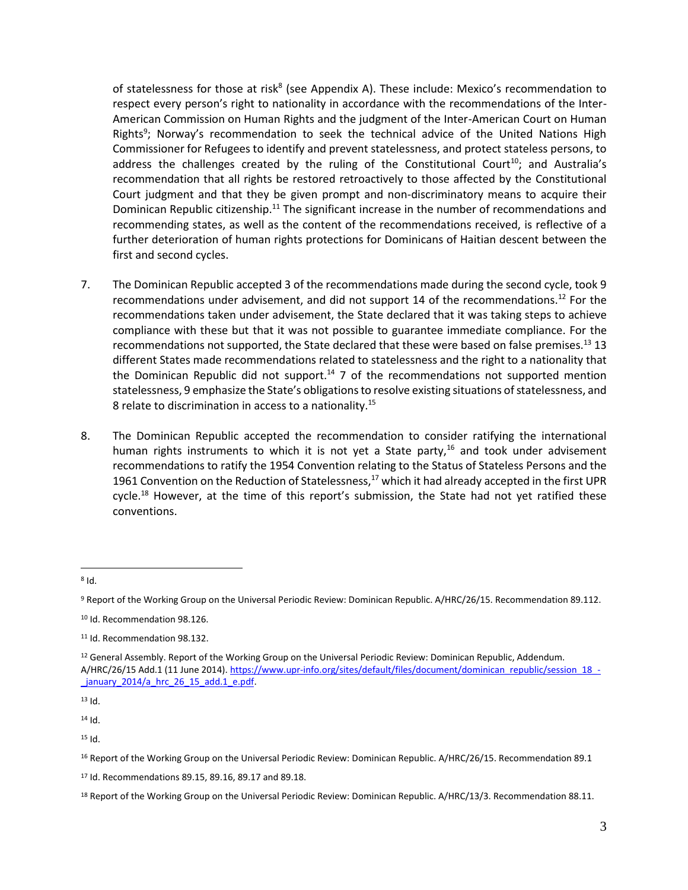of statelessness for those at risk<sup>8</sup> (see Appendix A). These include: Mexico's recommendation to respect every person's right to nationality in accordance with the recommendations of the Inter-American Commission on Human Rights and the judgment of the Inter-American Court on Human Rights<sup>9</sup>; Norway's recommendation to seek the technical advice of the United Nations High Commissioner for Refugees to identify and prevent statelessness, and protect stateless persons, to address the challenges created by the ruling of the Constitutional Court<sup>10</sup>; and Australia's recommendation that all rights be restored retroactively to those affected by the Constitutional Court judgment and that they be given prompt and non-discriminatory means to acquire their Dominican Republic citizenship.<sup>11</sup> The significant increase in the number of recommendations and recommending states, as well as the content of the recommendations received, is reflective of a further deterioration of human rights protections for Dominicans of Haitian descent between the first and second cycles.

- 7. The Dominican Republic accepted 3 of the recommendations made during the second cycle, took 9 recommendations under advisement, and did not support 14 of the recommendations.<sup>12</sup> For the recommendations taken under advisement, the State declared that it was taking steps to achieve compliance with these but that it was not possible to guarantee immediate compliance. For the recommendations not supported, the State declared that these were based on false premises.<sup>13</sup> 13 different States made recommendations related to statelessness and the right to a nationality that the Dominican Republic did not support.<sup>14</sup> 7 of the recommendations not supported mention statelessness, 9 emphasize the State's obligations to resolve existing situations of statelessness, and 8 relate to discrimination in access to a nationality.<sup>15</sup>
- 8. The Dominican Republic accepted the recommendation to consider ratifying the international human rights instruments to which it is not yet a State party,<sup>16</sup> and took under advisement recommendations to ratify the 1954 Convention relating to the Status of Stateless Persons and the 1961 Convention on the Reduction of Statelessness, $17$  which it had already accepted in the first UPR cycle.<sup>18</sup> However, at the time of this report's submission, the State had not yet ratified these conventions.

 $13$  Id.

 $14$  Id.

 $15$  Id.

 $\overline{a}$  $8$  Id.

<sup>9</sup> Report of the Working Group on the Universal Periodic Review: Dominican Republic. A/HRC/26/15. Recommendation 89.112.

<sup>10</sup> Id. Recommendation 98.126.

<sup>11</sup> Id. Recommendation 98.132.

<sup>&</sup>lt;sup>12</sup> General Assembly. Report of the Working Group on the Universal Periodic Review: Dominican Republic, Addendum. A/HRC/26/15 Add.1 (11 June 2014)[. https://www.upr-info.org/sites/default/files/document/dominican\\_republic/session\\_18\\_](https://www.upr-info.org/sites/default/files/document/dominican_republic/session_18_-_january_2014/a_hrc_26_15_add.1_e.pdf) january  $2014/a$  hrc  $26$  15 add.1 e.pdf.

<sup>16</sup> Report of the Working Group on the Universal Periodic Review: Dominican Republic. A/HRC/26/15. Recommendation 89.1

<sup>17</sup> Id. Recommendations 89.15, 89.16, 89.17 and 89.18.

<sup>&</sup>lt;sup>18</sup> Report of the Working Group on the Universal Periodic Review: Dominican Republic. A/HRC/13/3. Recommendation 88.11.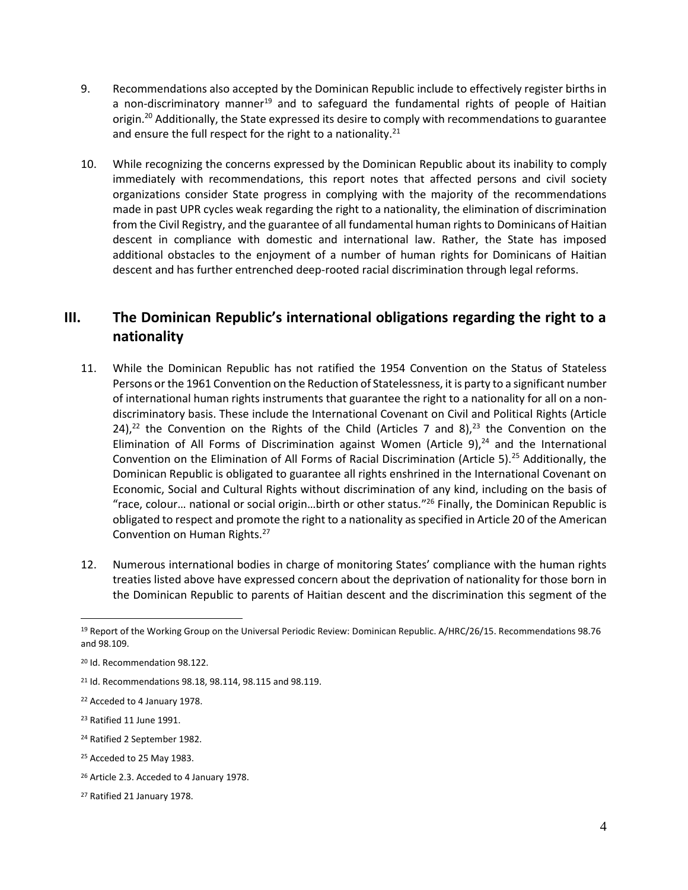- 9. Recommendations also accepted by the Dominican Republic include to effectively register births in a non-discriminatory manner<sup>19</sup> and to safeguard the fundamental rights of people of Haitian origin.<sup>20</sup> Additionally, the State expressed its desire to comply with recommendations to guarantee and ensure the full respect for the right to a nationality.<sup>21</sup>
- 10. While recognizing the concerns expressed by the Dominican Republic about its inability to comply immediately with recommendations, this report notes that affected persons and civil society organizations consider State progress in complying with the majority of the recommendations made in past UPR cycles weak regarding the right to a nationality, the elimination of discrimination from the Civil Registry, and the guarantee of all fundamental human rights to Dominicans of Haitian descent in compliance with domestic and international law. Rather, the State has imposed additional obstacles to the enjoyment of a number of human rights for Dominicans of Haitian descent and has further entrenched deep-rooted racial discrimination through legal reforms.

#### **III. The Dominican Republic's international obligations regarding the right to a nationality**

- 11. While the Dominican Republic has not ratified the 1954 Convention on the Status of Stateless Persons or the 1961 Convention on the Reduction of Statelessness, it is party to a significant number of international human rights instruments that guarantee the right to a nationality for all on a nondiscriminatory basis. These include the International Covenant on Civil and Political Rights (Article 24),<sup>22</sup> the Convention on the Rights of the Child (Articles 7 and 8),<sup>23</sup> the Convention on the Elimination of All Forms of Discrimination against Women (Article 9), $24$  and the International Convention on the Elimination of All Forms of Racial Discrimination (Article 5).<sup>25</sup> Additionally, the Dominican Republic is obligated to guarantee all rights enshrined in the International Covenant on Economic, Social and Cultural Rights without discrimination of any kind, including on the basis of "race, colour… national or social origin…birth or other status." <sup>26</sup> Finally, the Dominican Republic is obligated to respect and promote the right to a nationality as specified in Article 20 of the American Convention on Human Rights.<sup>27</sup>
- 12. Numerous international bodies in charge of monitoring States' compliance with the human rights treaties listed above have expressed concern about the deprivation of nationality for those born in the Dominican Republic to parents of Haitian descent and the discrimination this segment of the

<sup>19</sup> Report of the Working Group on the Universal Periodic Review: Dominican Republic. A/HRC/26/15. Recommendations 98.76 and 98.109.

<sup>20</sup> Id. Recommendation 98.122.

<sup>21</sup> Id. Recommendations 98.18, 98.114, 98.115 and 98.119.

<sup>22</sup> Acceded to 4 January 1978.

<sup>23</sup> Ratified 11 June 1991.

<sup>24</sup> Ratified 2 September 1982.

<sup>&</sup>lt;sup>25</sup> Acceded to 25 May 1983.

<sup>&</sup>lt;sup>26</sup> Article 2.3. Acceded to 4 January 1978.

<sup>27</sup> Ratified 21 January 1978.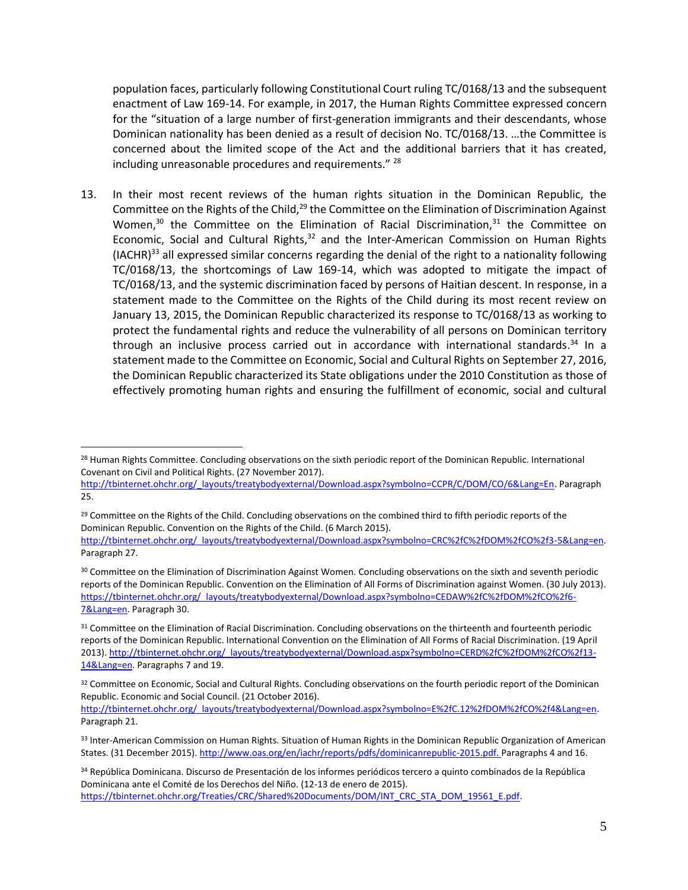population faces, particularly following Constitutional Court ruling TC/0168/13 and the subsequent enactment of Law 169-14. For example, in 2017, the Human Rights Committee expressed concern for the "situation of a large number of first-generation immigrants and their descendants, whose Dominican nationality has been denied as a result of decision No. TC/0168/13. …the Committee is concerned about the limited scope of the Act and the additional barriers that it has created, including unreasonable procedures and requirements."<sup>28</sup>

13. In their most recent reviews of the human rights situation in the Dominican Republic, the Committee on the Rights of the Child,<sup>29</sup> the Committee on the Elimination of Discrimination Against Women, $30$  the Committee on the Elimination of Racial Discrimination, $31$  the Committee on Economic, Social and Cultural Rights, $32$  and the Inter-American Commission on Human Rights  $(IACHR)<sup>33</sup>$  all expressed similar concerns regarding the denial of the right to a nationality following TC/0168/13, the shortcomings of Law 169-14, which was adopted to mitigate the impact of TC/0168/13, and the systemic discrimination faced by persons of Haitian descent. In response, in a statement made to the Committee on the Rights of the Child during its most recent review on January 13, 2015, the Dominican Republic characterized its response to TC/0168/13 as working to protect the fundamental rights and reduce the vulnerability of all persons on Dominican territory through an inclusive process carried out in accordance with international standards.<sup>34</sup> In a statement made to the Committee on Economic, Social and Cultural Rights on September 27, 2016, the Dominican Republic characterized its State obligations under the 2010 Constitution as those of effectively promoting human rights and ensuring the fulfillment of economic, social and cultural

<sup>&</sup>lt;sup>28</sup> Human Rights Committee. Concluding observations on the sixth periodic report of the Dominican Republic. International Covenant on Civil and Political Rights. (27 November 2017).

[http://tbinternet.ohchr.org/\\_layouts/treatybodyexternal/Download.aspx?symbolno=CCPR/C/DOM/CO/6&Lang=En.](http://tbinternet.ohchr.org/_layouts/treatybodyexternal/Download.aspx?symbolno=CCPR/C/DOM/CO/6&Lang=En) Paragraph 25.

<sup>&</sup>lt;sup>29</sup> Committee on the Rights of the Child. Concluding observations on the combined third to fifth periodic reports of the Dominican Republic. Convention on the Rights of the Child. (6 March 2015).

[http://tbinternet.ohchr.org/\\_layouts/treatybodyexternal/Download.aspx?symbolno=CRC%2fC%2fDOM%2fCO%2f3-5&Lang=en.](http://tbinternet.ohchr.org/_layouts/treatybodyexternal/Download.aspx?symbolno=CRC%2fC%2fDOM%2fCO%2f3-5&Lang=en)  Paragraph 27.

<sup>&</sup>lt;sup>30</sup> Committee on the Elimination of Discrimination Against Women. Concluding observations on the sixth and seventh periodic reports of the Dominican Republic. Convention on the Elimination of All Forms of Discrimination against Women. (30 July 2013). [https://tbinternet.ohchr.org/\\_layouts/treatybodyexternal/Download.aspx?symbolno=CEDAW%2fC%2fDOM%2fCO%2f6-](https://tbinternet.ohchr.org/_layouts/treatybodyexternal/Download.aspx?symbolno=CEDAW%2fC%2fDOM%2fCO%2f6-7&Lang=en) [7&Lang=en.](https://tbinternet.ohchr.org/_layouts/treatybodyexternal/Download.aspx?symbolno=CEDAW%2fC%2fDOM%2fCO%2f6-7&Lang=en) Paragraph 30.

<sup>&</sup>lt;sup>31</sup> Committee on the Elimination of Racial Discrimination. Concluding observations on the thirteenth and fourteenth periodic reports of the Dominican Republic. International Convention on the Elimination of All Forms of Racial Discrimination. (19 April 2013)[. http://tbinternet.ohchr.org/\\_layouts/treatybodyexternal/Download.aspx?symbolno=CERD%2fC%2fDOM%2fCO%2f13-](http://tbinternet.ohchr.org/_layouts/treatybodyexternal/Download.aspx?symbolno=CERD%2fC%2fDOM%2fCO%2f13-14&Lang=en) [14&Lang=en.](http://tbinternet.ohchr.org/_layouts/treatybodyexternal/Download.aspx?symbolno=CERD%2fC%2fDOM%2fCO%2f13-14&Lang=en) Paragraphs 7 and 19.

<sup>32</sup> Committee on Economic, Social and Cultural Rights. Concluding observations on the fourth periodic report of the Dominican Republic. Economic and Social Council. (21 October 2016).

[http://tbinternet.ohchr.org/\\_layouts/treatybodyexternal/Download.aspx?symbolno=E%2fC.12%2fDOM%2fCO%2f4&Lang=en.](http://tbinternet.ohchr.org/_layouts/treatybodyexternal/Download.aspx?symbolno=E%2fC.12%2fDOM%2fCO%2f4&Lang=en)  Paragraph 21.

<sup>33</sup> Inter-American Commission on Human Rights. Situation of Human Rights in the Dominican Republic Organization of American States. (31 December 2015). http://www.oas.org/en/iachr/reports/pdfs/dominicanrepublic-2015.pdf. Paragraphs 4 and 16.

<sup>34</sup> República Dominicana. Discurso de Presentación de los informes periódicos tercero a quinto combinados de la República Dominicana ante el Comité de los Derechos del Niño. (12-13 de enero de 2015). [https://tbinternet.ohchr.org/Treaties/CRC/Shared%20Documents/DOM/INT\\_CRC\\_STA\\_DOM\\_19561\\_E.pdf.](https://tbinternet.ohchr.org/Treaties/CRC/Shared%20Documents/DOM/INT_CRC_STA_DOM_19561_E.pdf)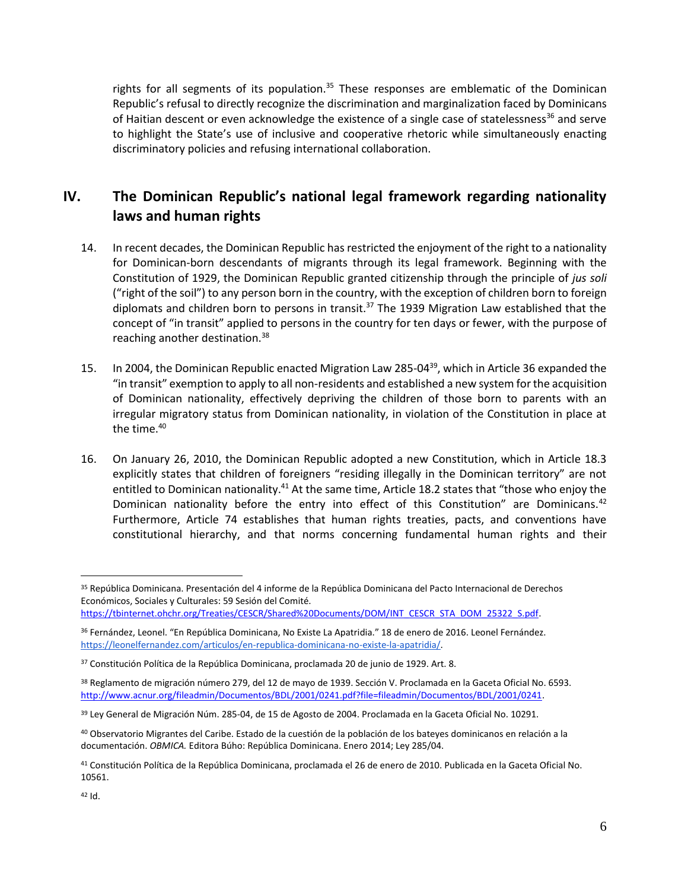rights for all segments of its population.<sup>35</sup> These responses are emblematic of the Dominican Republic's refusal to directly recognize the discrimination and marginalization faced by Dominicans of Haitian descent or even acknowledge the existence of a single case of statelessness<sup>36</sup> and serve to highlight the State's use of inclusive and cooperative rhetoric while simultaneously enacting discriminatory policies and refusing international collaboration.

### **IV. The Dominican Republic's national legal framework regarding nationality laws and human rights**

- 14. In recent decades, the Dominican Republic has restricted the enjoyment of the right to a nationality for Dominican-born descendants of migrants through its legal framework. Beginning with the Constitution of 1929, the Dominican Republic granted citizenship through the principle of *jus soli* ("right of the soil") to any person born in the country, with the exception of children born to foreign diplomats and children born to persons in transit.<sup>37</sup> The 1939 Migration Law established that the concept of "in transit" applied to persons in the country for ten days or fewer, with the purpose of reaching another destination.<sup>38</sup>
- 15. In 2004, the Dominican Republic enacted Migration Law 285-04<sup>39</sup>, which in Article 36 expanded the "in transit" exemption to apply to all non-residents and established a new system for the acquisition of Dominican nationality, effectively depriving the children of those born to parents with an irregular migratory status from Dominican nationality, in violation of the Constitution in place at the time.<sup>40</sup>
- 16. On January 26, 2010, the Dominican Republic adopted a new Constitution, which in Article 18.3 explicitly states that children of foreigners "residing illegally in the Dominican territory" are not entitled to Dominican nationality.<sup>41</sup> At the same time, Article 18.2 states that "those who enjoy the Dominican nationality before the entry into effect of this Constitution" are Dominicans.<sup>42</sup> Furthermore, Article 74 establishes that human rights treaties, pacts, and conventions have constitutional hierarchy, and that norms concerning fundamental human rights and their

<sup>35</sup> República Dominicana. Presentación del 4 informe de la República Dominicana del Pacto Internacional de Derechos Económicos, Sociales y Culturales: 59 Sesión del Comité.

[https://tbinternet.ohchr.org/Treaties/CESCR/Shared%20Documents/DOM/INT\\_CESCR\\_STA\\_DOM\\_25322\\_S.pdf.](https://tbinternet.ohchr.org/Treaties/CESCR/Shared%20Documents/DOM/INT_CESCR_STA_DOM_25322_S.pdf)

<sup>36</sup> Fernández, Leonel. "En República Dominicana, No Existe La Apatridia." 18 de enero de 2016. Leonel Fernández. [https://leonelfernandez.com/articulos/en-republica-dominicana-no-existe-la-apatridia/.](https://leonelfernandez.com/articulos/en-republica-dominicana-no-existe-la-apatridia/)

<sup>37</sup> Constitución Política de la República Dominicana, proclamada 20 de junio de 1929. Art. 8.

<sup>38</sup> Reglamento de migración número 279, del 12 de mayo de 1939. Sección V. Proclamada en la Gaceta Oficial No. 6593. [http://www.acnur.org/fileadmin/Documentos/BDL/2001/0241.pdf?file=fileadmin/Documentos/BDL/2001/0241.](http://www.acnur.org/fileadmin/Documentos/BDL/2001/0241.pdf?file=fileadmin/Documentos/BDL/2001/0241) 

<sup>39</sup> Ley General de Migración Núm. 285-04, de 15 de Agosto de 2004. Proclamada en la Gaceta Oficial No. 10291.

<sup>40</sup> Observatorio Migrantes del Caribe. Estado de la cuestión de la población de los bateyes dominicanos en relación a la documentación. *OBMICA.* Editora Búho: República Dominicana. Enero 2014; Ley 285/04.

<sup>41</sup> Constitución Política de la República Dominicana, proclamada el 26 de enero de 2010. Publicada en la Gaceta Oficial No. 10561.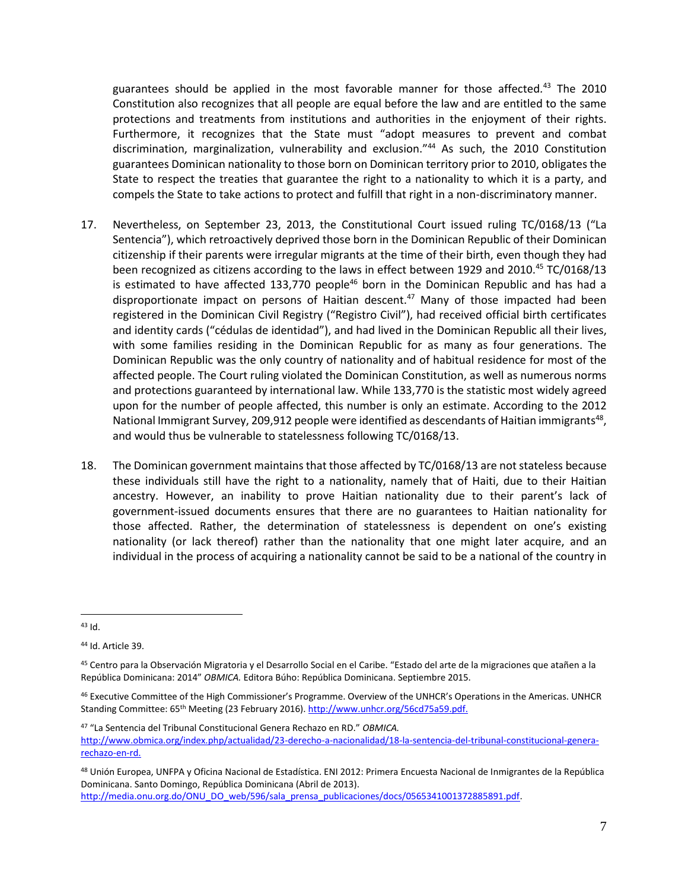guarantees should be applied in the most favorable manner for those affected*.* <sup>43</sup> The 2010 Constitution also recognizes that all people are equal before the law and are entitled to the same protections and treatments from institutions and authorities in the enjoyment of their rights. Furthermore, it recognizes that the State must "adopt measures to prevent and combat discrimination, marginalization, vulnerability and exclusion."<sup>44</sup> As such, the 2010 Constitution guarantees Dominican nationality to those born on Dominican territory prior to 2010, obligates the State to respect the treaties that guarantee the right to a nationality to which it is a party, and compels the State to take actions to protect and fulfill that right in a non-discriminatory manner.

- 17. Nevertheless, on September 23, 2013, the Constitutional Court issued ruling TC/0168/13 ("La Sentencia"), which retroactively deprived those born in the Dominican Republic of their Dominican citizenship if their parents were irregular migrants at the time of their birth, even though they had been recognized as citizens according to the laws in effect between 1929 and 2010.<sup>45</sup> TC/0168/13 is estimated to have affected 133,770 people<sup>46</sup> born in the Dominican Republic and has had a disproportionate impact on persons of Haitian descent.<sup>47</sup> Many of those impacted had been registered in the Dominican Civil Registry ("Registro Civil"), had received official birth certificates and identity cards ("cédulas de identidad"), and had lived in the Dominican Republic all their lives, with some families residing in the Dominican Republic for as many as four generations. The Dominican Republic was the only country of nationality and of habitual residence for most of the affected people. The Court ruling violated the Dominican Constitution, as well as numerous norms and protections guaranteed by international law. While 133,770 is the statistic most widely agreed upon for the number of people affected, this number is only an estimate. According to the 2012 National Immigrant Survey, 209,912 people were identified as descendants of Haitian immigrants<sup>48</sup>, and would thus be vulnerable to statelessness following TC/0168/13.
- 18. The Dominican government maintains that those affected by TC/0168/13 are not stateless because these individuals still have the right to a nationality, namely that of Haiti, due to their Haitian ancestry. However, an inability to prove Haitian nationality due to their parent's lack of government-issued documents ensures that there are no guarantees to Haitian nationality for those affected. Rather, the determination of statelessness is dependent on one's existing nationality (or lack thereof) rather than the nationality that one might later acquire, and an individual in the process of acquiring a nationality cannot be said to be a national of the country in

[http://media.onu.org.do/ONU\\_DO\\_web/596/sala\\_prensa\\_publicaciones/docs/0565341001372885891.pdf.](http://media.onu.org.do/ONU_DO_web/596/sala_prensa_publicaciones/docs/0565341001372885891.pdf)

 $\overline{a}$  $43$  Id.

<sup>44</sup> Id. Article 39.

<sup>45</sup> Centro para la Observación Migratoria y el Desarrollo Social en el Caribe. "Estado del arte de la migraciones que atañen a la República Dominicana: 2014" *OBMICA.* Editora Búho: República Dominicana. Septiembre 2015.

<sup>46</sup> Executive Committee of the High Commissioner's Programme. Overview of the UNHCR's Operations in the Americas. UNHCR Standing Committee: 65th Meeting (23 February 2016)[. http://www.unhcr.org/56cd75a59.pdf.](http://www.unhcr.org/56cd75a59.pdf)

<sup>47</sup> "La Sentencia del Tribunal Constitucional Genera Rechazo en RD." *OBMICA.*  [http://www.obmica.org/index.php/actualidad/23-derecho-a-nacionalidad/18-la-sentencia-del-tribunal-constitucional-genera](http://www.obmica.org/index.php/actualidad/23-derecho-a-nacionalidad/18-la-sentencia-del-tribunal-constitucional-genera-rechazo-en-rd)[rechazo-en-rd.](http://www.obmica.org/index.php/actualidad/23-derecho-a-nacionalidad/18-la-sentencia-del-tribunal-constitucional-genera-rechazo-en-rd)

<sup>48</sup> Unión Europea, UNFPA y Oficina Nacional de Estadística. ENI 2012: Primera Encuesta Nacional de Inmigrantes de la República Dominicana. Santo Domingo, República Dominicana (Abril de 2013).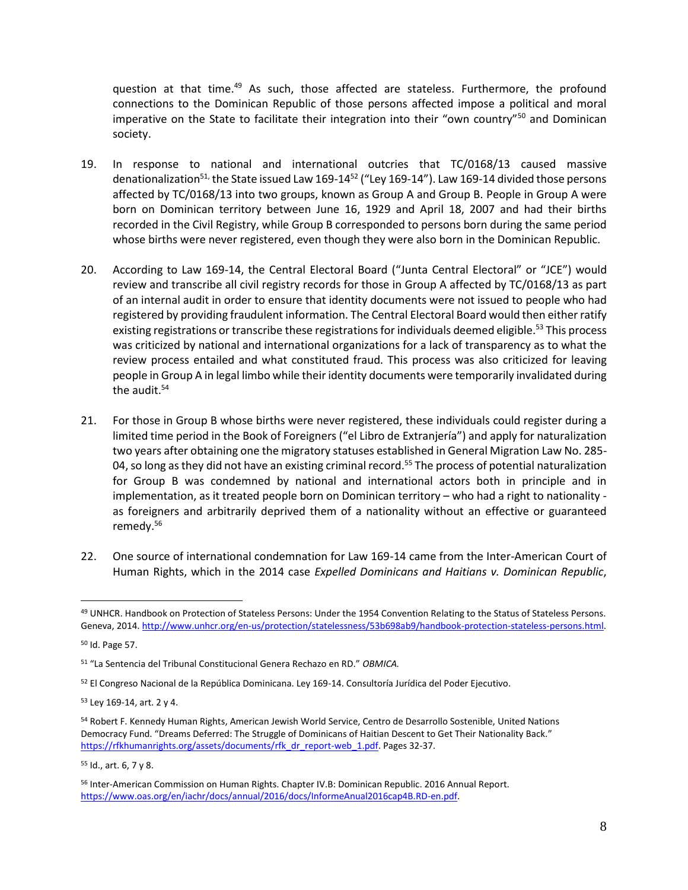question at that time. $49$  As such, those affected are stateless. Furthermore, the profound connections to the Dominican Republic of those persons affected impose a political and moral imperative on the State to facilitate their integration into their "own country"<sup>50</sup> and Dominican society.

- 19. In response to national and international outcries that TC/0168/13 caused massive denationalization<sup>51,</sup> the State issued Law 169-14<sup>52</sup> ("Ley 169-14"). Law 169-14 divided those persons affected by TC/0168/13 into two groups, known as Group A and Group B. People in Group A were born on Dominican territory between June 16, 1929 and April 18, 2007 and had their births recorded in the Civil Registry, while Group B corresponded to persons born during the same period whose births were never registered, even though they were also born in the Dominican Republic.
- 20. According to Law 169-14, the Central Electoral Board ("Junta Central Electoral" or "JCE") would review and transcribe all civil registry records for those in Group A affected by TC/0168/13 as part of an internal audit in order to ensure that identity documents were not issued to people who had registered by providing fraudulent information. The Central Electoral Board would then either ratify existing registrations or transcribe these registrations for individuals deemed eligible.<sup>53</sup> This process was criticized by national and international organizations for a lack of transparency as to what the review process entailed and what constituted fraud. This process was also criticized for leaving people in Group A in legal limbo while their identity documents were temporarily invalidated during the audit.<sup>54</sup>
- 21. For those in Group B whose births were never registered, these individuals could register during a limited time period in the Book of Foreigners ("el Libro de Extranjería") and apply for naturalization two years after obtaining one the migratory statuses established in General Migration Law No. 285- 04, so long as they did not have an existing criminal record.<sup>55</sup> The process of potential naturalization for Group B was condemned by national and international actors both in principle and in implementation, as it treated people born on Dominican territory – who had a right to nationality as foreigners and arbitrarily deprived them of a nationality without an effective or guaranteed remedy.<sup>56</sup>
- 22. One source of international condemnation for Law 169-14 came from the Inter-American Court of Human Rights, which in the 2014 case *Expelled Dominicans and Haitians v. Dominican Republic*,

<sup>49</sup> UNHCR. Handbook on Protection of Stateless Persons: Under the 1954 Convention Relating to the Status of Stateless Persons. Geneva, 2014[. http://www.unhcr.org/en-us/protection/statelessness/53b698ab9/handbook-protection-stateless-persons.html.](http://www.unhcr.org/en-us/protection/statelessness/53b698ab9/handbook-protection-stateless-persons.html)

<sup>50</sup> Id. Page 57.

<sup>51</sup> "La Sentencia del Tribunal Constitucional Genera Rechazo en RD." *OBMICA.* 

<sup>52</sup> El Congreso Nacional de la República Dominicana. Ley 169-14. Consultoría Jurídica del Poder Ejecutivo.

<sup>53</sup> Ley 169-14, art. 2 y 4.

<sup>54</sup> Robert F. Kennedy Human Rights, American Jewish World Service, Centro de Desarrollo Sostenible, United Nations Democracy Fund. "Dreams Deferred: The Struggle of Dominicans of Haitian Descent to Get Their Nationality Back." [https://rfkhumanrights.org/assets/documents/rfk\\_dr\\_report-web\\_1.pdf.](https://rfkhumanrights.org/assets/documents/rfk_dr_report-web_1.pdf) Pages 32-37.

<sup>55</sup> Id., art. 6, 7 y 8.

<sup>56</sup> Inter-American Commission on Human Rights. Chapter IV.B: Dominican Republic. 2016 Annual Report. [https://www.oas.org/en/iachr/docs/annual/2016/docs/InformeAnual2016cap4B.RD-en.pdf.](https://www.oas.org/en/iachr/docs/annual/2016/docs/InformeAnual2016cap4B.RD-en.pdf)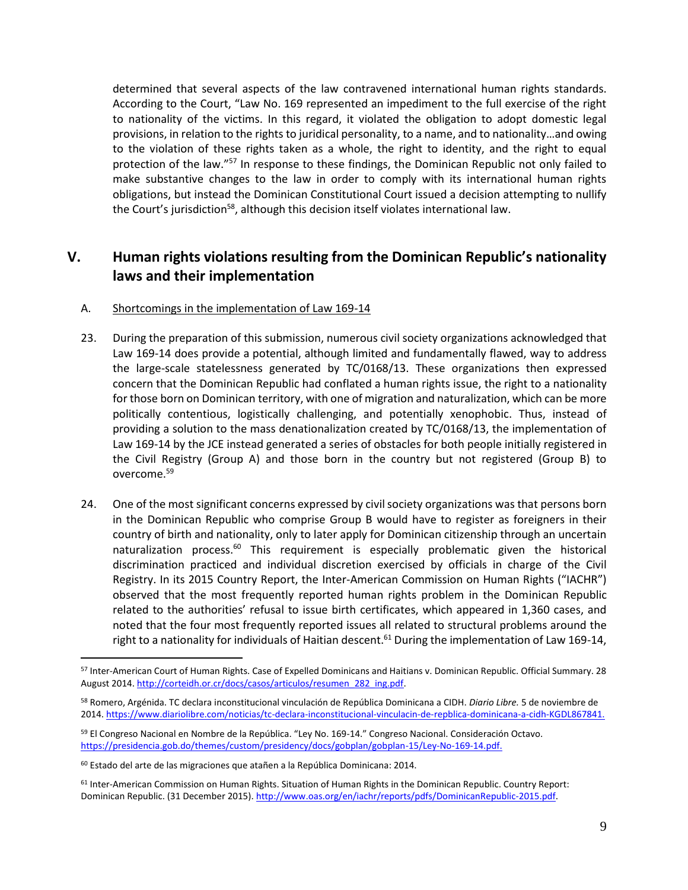determined that several aspects of the law contravened international human rights standards. According to the Court, "Law No. 169 represented an impediment to the full exercise of the right to nationality of the victims. In this regard, it violated the obligation to adopt domestic legal provisions, in relation to the rights to juridical personality, to a name, and to nationality…and owing to the violation of these rights taken as a whole, the right to identity, and the right to equal protection of the law."<sup>57</sup> In response to these findings, the Dominican Republic not only failed to make substantive changes to the law in order to comply with its international human rights obligations, but instead the Dominican Constitutional Court issued a decision attempting to nullify the Court's jurisdiction<sup>58</sup>, although this decision itself violates international law.

#### **V. Human rights violations resulting from the Dominican Republic's nationality laws and their implementation**

#### A. Shortcomings in the implementation of Law 169-14

- 23. During the preparation of this submission, numerous civil society organizations acknowledged that Law 169-14 does provide a potential, although limited and fundamentally flawed, way to address the large-scale statelessness generated by TC/0168/13. These organizations then expressed concern that the Dominican Republic had conflated a human rights issue, the right to a nationality for those born on Dominican territory, with one of migration and naturalization, which can be more politically contentious, logistically challenging, and potentially xenophobic. Thus, instead of providing a solution to the mass denationalization created by TC/0168/13, the implementation of Law 169-14 by the JCE instead generated a series of obstacles for both people initially registered in the Civil Registry (Group A) and those born in the country but not registered (Group B) to overcome.<sup>59</sup>
- 24. One of the most significant concerns expressed by civil society organizations was that persons born in the Dominican Republic who comprise Group B would have to register as foreigners in their country of birth and nationality, only to later apply for Dominican citizenship through an uncertain naturalization process.<sup>60</sup> This requirement is especially problematic given the historical discrimination practiced and individual discretion exercised by officials in charge of the Civil Registry. In its 2015 Country Report, the Inter-American Commission on Human Rights ("IACHR") observed that the most frequently reported human rights problem in the Dominican Republic related to the authorities' refusal to issue birth certificates, which appeared in 1,360 cases, and noted that the four most frequently reported issues all related to structural problems around the right to a nationality for individuals of Haitian descent.<sup>61</sup> During the implementation of Law 169-14,

<sup>57</sup> Inter-American Court of Human Rights. Case of Expelled Dominicans and Haitians v. Dominican Republic. Official Summary. 28 August 2014. http://corteidh.or.cr/docs/casos/articulos/resumen\_282\_ing.pdf.

<sup>58</sup> Romero, Argénida. TC declara inconstitucional vinculación de República Dominicana a CIDH. *Diario Libre.* 5 de noviembre de 2014[. https://www.diariolibre.com/noticias/tc-declara-inconstitucional-vinculacin-de-repblica-dominicana-a-cidh-KGDL867841.](https://www.diariolibre.com/noticias/tc-declara-inconstitucional-vinculacin-de-repblica-dominicana-a-cidh-KGDL867841)

<sup>59</sup> El Congreso Nacional en Nombre de la República. "Ley No. 169-14." Congreso Nacional. Consideración Octavo. [https://presidencia.gob.do/themes/custom/presidency/docs/gobplan/gobplan-15/Ley-No-169-14.pdf.](https://presidencia.gob.do/themes/custom/presidency/docs/gobplan/gobplan-15/Ley-No-169-14.pdf)

<sup>60</sup> Estado del arte de las migraciones que atañen a la República Dominicana: 2014.

<sup>61</sup> Inter-American Commission on Human Rights. Situation of Human Rights in the Dominican Republic. Country Report: Dominican Republic. (31 December 2015). [http://www.oas.org/en/iachr/reports/pdfs/DominicanRepublic-2015.pdf.](http://www.oas.org/en/iachr/reports/pdfs/DominicanRepublic-2015.pdf)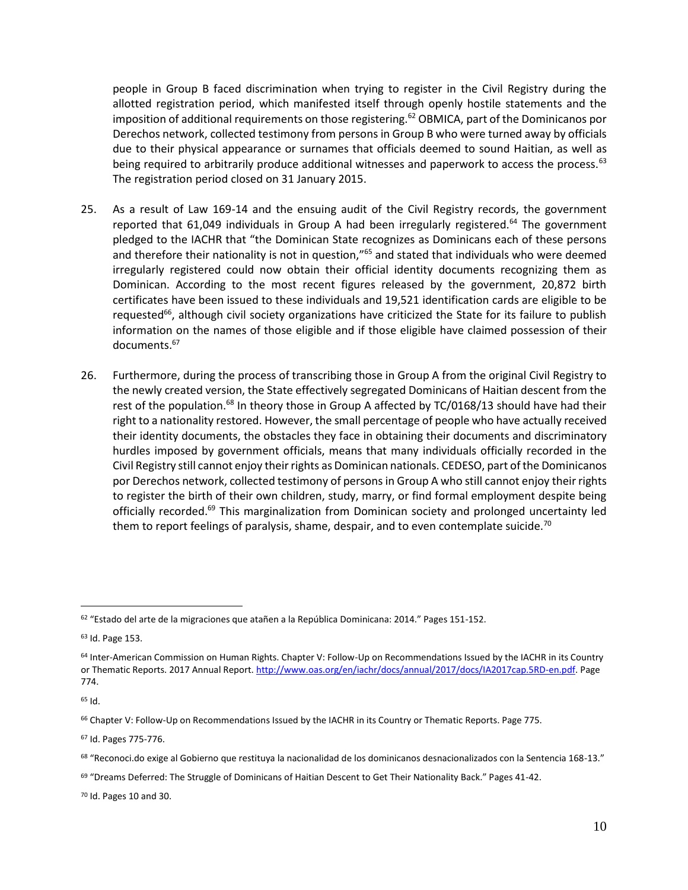people in Group B faced discrimination when trying to register in the Civil Registry during the allotted registration period, which manifested itself through openly hostile statements and the imposition of additional requirements on those registering.<sup>62</sup> OBMICA, part of the Dominicanos por Derechos network, collected testimony from persons in Group B who were turned away by officials due to their physical appearance or surnames that officials deemed to sound Haitian, as well as being required to arbitrarily produce additional witnesses and paperwork to access the process.<sup>63</sup> The registration period closed on 31 January 2015.

- 25. As a result of Law 169-14 and the ensuing audit of the Civil Registry records, the government reported that 61,049 individuals in Group A had been irregularly registered.<sup>64</sup> The government pledged to the IACHR that "the Dominican State recognizes as Dominicans each of these persons and therefore their nationality is not in question,"<sup>65</sup> and stated that individuals who were deemed irregularly registered could now obtain their official identity documents recognizing them as Dominican. According to the most recent figures released by the government, 20,872 birth certificates have been issued to these individuals and 19,521 identification cards are eligible to be requested<sup>66</sup>, although civil society organizations have criticized the State for its failure to publish information on the names of those eligible and if those eligible have claimed possession of their documents. 67
- 26. Furthermore, during the process of transcribing those in Group A from the original Civil Registry to the newly created version, the State effectively segregated Dominicans of Haitian descent from the rest of the population.<sup>68</sup> In theory those in Group A affected by TC/0168/13 should have had their right to a nationality restored. However, the small percentage of people who have actually received their identity documents, the obstacles they face in obtaining their documents and discriminatory hurdles imposed by government officials, means that many individuals officially recorded in the Civil Registry still cannot enjoy their rights as Dominican nationals. CEDESO, part of the Dominicanos por Derechos network, collected testimony of persons in Group A who still cannot enjoy their rights to register the birth of their own children, study, marry, or find formal employment despite being officially recorded.<sup>69</sup> This marginalization from Dominican society and prolonged uncertainty led them to report feelings of paralysis, shame, despair, and to even contemplate suicide.<sup>70</sup>

<sup>65</sup> Id.

 $\overline{a}$ 

<sup>67</sup> Id. Pages 775-776.

<sup>70</sup> Id. Pages 10 and 30.

<sup>62</sup> "Estado del arte de la migraciones que atañen a la República Dominicana: 2014." Pages 151-152.

<sup>63</sup> Id. Page 153.

<sup>&</sup>lt;sup>64</sup> Inter-American Commission on Human Rights. Chapter V: Follow-Up on Recommendations Issued by the IACHR in its Country or Thematic Reports. 2017 Annual Report. [http://www.oas.org/en/iachr/docs/annual/2017/docs/IA2017cap.5RD-en.pdf.](http://www.oas.org/en/iachr/docs/annual/2017/docs/IA2017cap.5RD-en.pdf) Page 774.

<sup>66</sup> Chapter V: Follow-Up on Recommendations Issued by the IACHR in its Country or Thematic Reports. Page 775.

<sup>68</sup> "Reconoci.do exige al Gobierno que restituya la nacionalidad de los dominicanos desnacionalizados con la Sentencia 168-13."

 $69$  "Dreams Deferred: The Struggle of Dominicans of Haitian Descent to Get Their Nationality Back." Pages 41-42.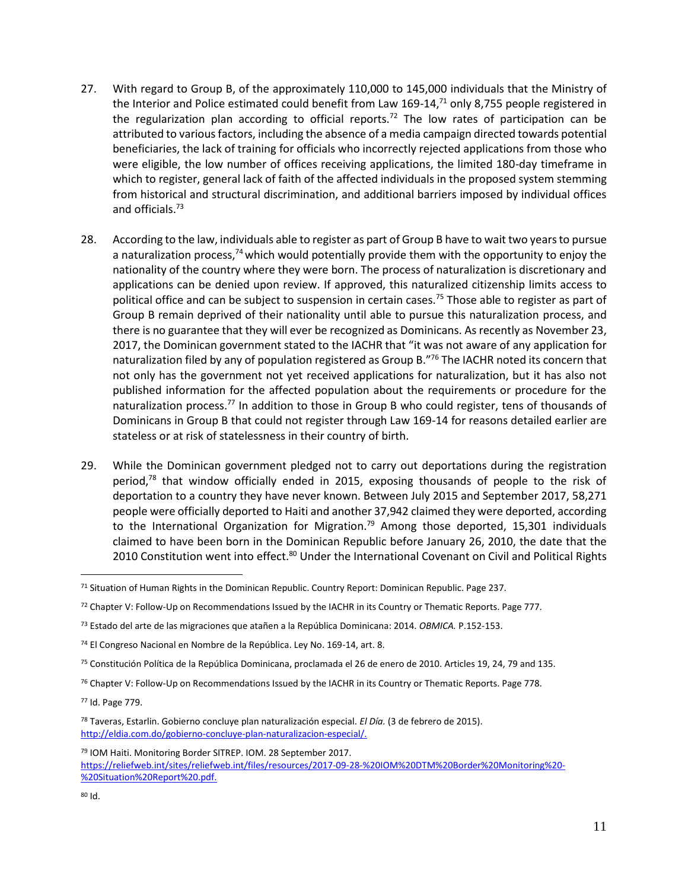- 27. With regard to Group B, of the approximately 110,000 to 145,000 individuals that the Ministry of the Interior and Police estimated could benefit from Law 169-14,<sup>71</sup> only 8,755 people registered in the regularization plan according to official reports.<sup>72</sup> The low rates of participation can be attributed to various factors, including the absence of a media campaign directed towards potential beneficiaries, the lack of training for officials who incorrectly rejected applications from those who were eligible, the low number of offices receiving applications, the limited 180-day timeframe in which to register, general lack of faith of the affected individuals in the proposed system stemming from historical and structural discrimination, and additional barriers imposed by individual offices and officials.<sup>73</sup>
- 28. According to the law, individuals able to register as part of Group B have to wait two years to pursue a naturalization process, $74$  which would potentially provide them with the opportunity to enjoy the nationality of the country where they were born. The process of naturalization is discretionary and applications can be denied upon review. If approved, this naturalized citizenship limits access to political office and can be subject to suspension in certain cases.<sup>75</sup> Those able to register as part of Group B remain deprived of their nationality until able to pursue this naturalization process, and there is no guarantee that they will ever be recognized as Dominicans. As recently as November 23, 2017, the Dominican government stated to the IACHR that "it was not aware of any application for naturalization filed by any of population registered as Group B.<sup>"76</sup> The IACHR noted its concern that not only has the government not yet received applications for naturalization, but it has also not published information for the affected population about the requirements or procedure for the naturalization process.<sup>77</sup> In addition to those in Group B who could register, tens of thousands of Dominicans in Group B that could not register through Law 169-14 for reasons detailed earlier are stateless or at risk of statelessness in their country of birth.
- 29. While the Dominican government pledged not to carry out deportations during the registration period, $7^8$  that window officially ended in 2015, exposing thousands of people to the risk of deportation to a country they have never known. Between July 2015 and September 2017, 58,271 people were officially deported to Haiti and another 37,942 claimed they were deported, according to the International Organization for Migration.<sup>79</sup> Among those deported, 15,301 individuals claimed to have been born in the Dominican Republic before January 26, 2010, the date that the 2010 Constitution went into effect.<sup>80</sup> Under the International Covenant on Civil and Political Rights

<sup>79</sup> IOM Haiti. Monitoring Border SITREP. IOM. 28 September 2017. [https://reliefweb.int/sites/reliefweb.int/files/resources/2017-09-28-%20IOM%20DTM%20Border%20Monitoring%20-](https://reliefweb.int/sites/reliefweb.int/files/resources/2017-09-28-%20IOM%20DTM%20Border%20Monitoring%20-%20Situation%20Report%20.pdf) [%20Situation%20Report%20.pdf.](https://reliefweb.int/sites/reliefweb.int/files/resources/2017-09-28-%20IOM%20DTM%20Border%20Monitoring%20-%20Situation%20Report%20.pdf)

<sup>71</sup> Situation of Human Rights in the Dominican Republic. Country Report: Dominican Republic. Page 237.

<sup>72</sup> Chapter V: Follow-Up on Recommendations Issued by the IACHR in its Country or Thematic Reports. Page 777.

<sup>73</sup> Estado del arte de las migraciones que atañen a la República Dominicana: 2014. *OBMICA.* P.152-153.

<sup>74</sup> El Congreso Nacional en Nombre de la República. Ley No. 169-14, art. 8.

 $75$  Constitución Política de la República Dominicana, proclamada el 26 de enero de 2010. Articles 19, 24, 79 and 135.

<sup>&</sup>lt;sup>76</sup> Chapter V: Follow-Up on Recommendations Issued by the IACHR in its Country or Thematic Reports. Page 778.

<sup>77</sup> Id. Page 779.

<sup>78</sup> Taveras, Estarlin. Gobierno concluye plan naturalización especial. *El Día.* (3 de febrero de 2015). [http://eldia.com.do/gobierno-concluye-plan-naturalizacion-especial/.](http://eldia.com.do/gobierno-concluye-plan-naturalizacion-especial/)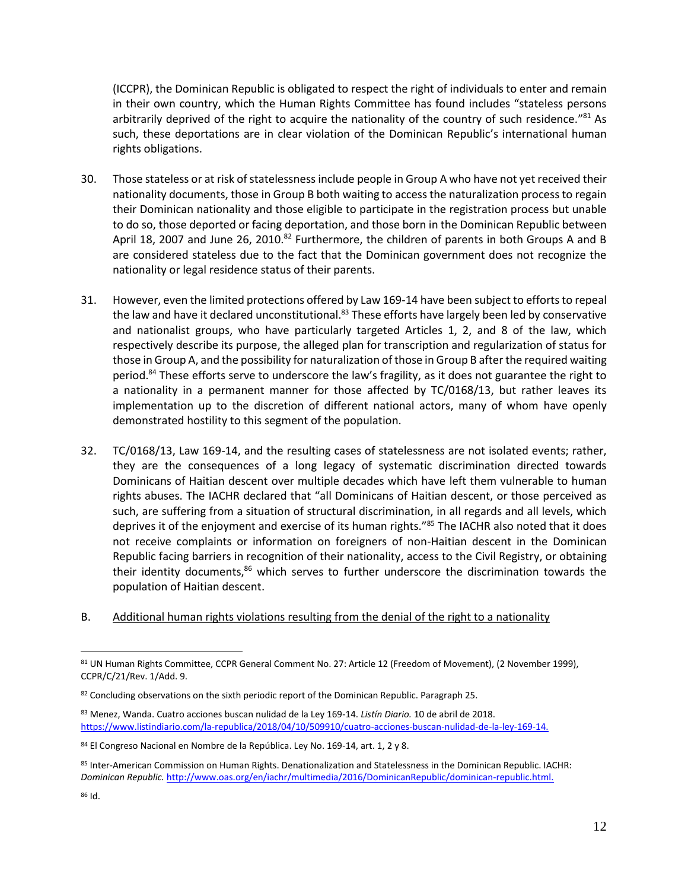(ICCPR), the Dominican Republic is obligated to respect the right of individuals to enter and remain in their own country, which the Human Rights Committee has found includes "stateless persons arbitrarily deprived of the right to acquire the nationality of the country of such residence."<sup>81</sup> As such, these deportations are in clear violation of the Dominican Republic's international human rights obligations.

- 30. Those stateless or at risk of statelessness include people in Group A who have not yet received their nationality documents, those in Group B both waiting to access the naturalization process to regain their Dominican nationality and those eligible to participate in the registration process but unable to do so, those deported or facing deportation, and those born in the Dominican Republic between April 18, 2007 and June 26, 2010.<sup>82</sup> Furthermore, the children of parents in both Groups A and B are considered stateless due to the fact that the Dominican government does not recognize the nationality or legal residence status of their parents.
- 31. However, even the limited protections offered by Law 169-14 have been subject to efforts to repeal the law and have it declared unconstitutional.<sup>83</sup> These efforts have largely been led by conservative and nationalist groups, who have particularly targeted Articles 1, 2, and 8 of the law, which respectively describe its purpose, the alleged plan for transcription and regularization of status for those in Group A, and the possibility for naturalization of those in Group B after the required waiting period.<sup>84</sup> These efforts serve to underscore the law's fragility, as it does not guarantee the right to a nationality in a permanent manner for those affected by TC/0168/13, but rather leaves its implementation up to the discretion of different national actors, many of whom have openly demonstrated hostility to this segment of the population.
- 32. TC/0168/13, Law 169-14, and the resulting cases of statelessness are not isolated events; rather, they are the consequences of a long legacy of systematic discrimination directed towards Dominicans of Haitian descent over multiple decades which have left them vulnerable to human rights abuses. The IACHR declared that "all Dominicans of Haitian descent, or those perceived as such, are suffering from a situation of structural discrimination, in all regards and all levels, which deprives it of the enjoyment and exercise of its human rights."<sup>85</sup> The IACHR also noted that it does not receive complaints or information on foreigners of non-Haitian descent in the Dominican Republic facing barriers in recognition of their nationality, access to the Civil Registry, or obtaining their identity documents, $86$  which serves to further underscore the discrimination towards the population of Haitian descent.
- B. Additional human rights violations resulting from the denial of the right to a nationality

<sup>81</sup> UN Human Rights Committee, CCPR General Comment No. 27: Article 12 (Freedom of Movement), (2 November 1999), CCPR/C/21/Rev. 1/Add. 9.

<sup>82</sup> Concluding observations on the sixth periodic report of the Dominican Republic. Paragraph 25.

<sup>83</sup> Menez, Wanda. Cuatro acciones buscan nulidad de la Ley 169-14. *Listín Diario.* 10 de abril de 2018. [https://www.listindiario.com/la-republica/2018/04/10/509910/cuatro-acciones-buscan-nulidad-de-la-ley-169-14.](https://www.listindiario.com/la-republica/2018/04/10/509910/cuatro-acciones-buscan-nulidad-de-la-ley-169-14)

<sup>84</sup> El Congreso Nacional en Nombre de la República. Ley No. 169-14, art. 1, 2 y 8.

<sup>85</sup> Inter-American Commission on Human Rights. Denationalization and Statelessness in the Dominican Republic. IACHR: *Dominican Republic.* [http://www.oas.org/en/iachr/multimedia/2016/DominicanRepublic/dominican-republic.html.](http://www.oas.org/en/iachr/multimedia/2016/DominicanRepublic/dominican-republic.html) 

<sup>86</sup> Id.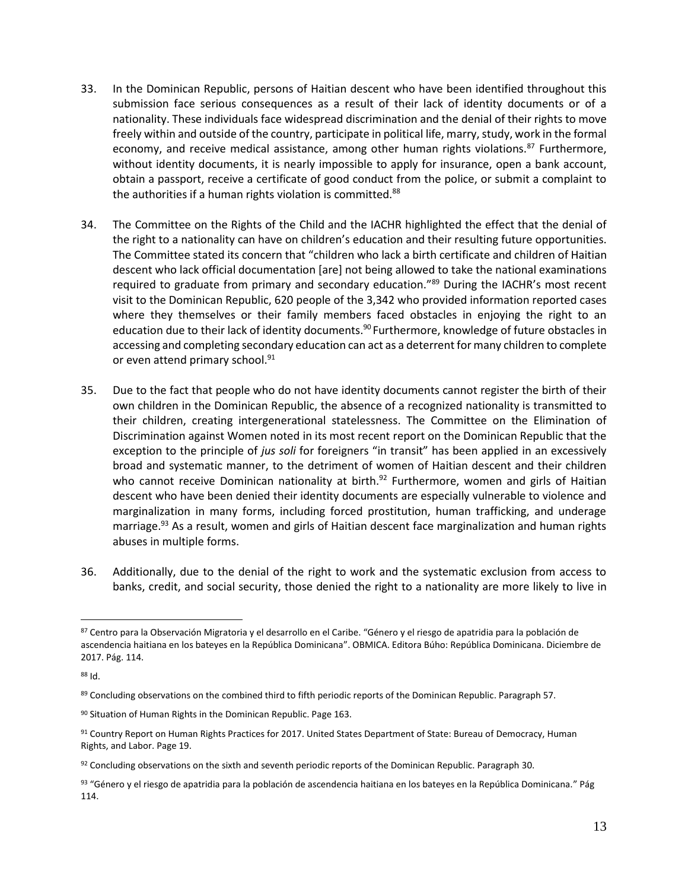- 33. In the Dominican Republic, persons of Haitian descent who have been identified throughout this submission face serious consequences as a result of their lack of identity documents or of a nationality. These individuals face widespread discrimination and the denial of their rights to move freely within and outside of the country, participate in political life, marry, study, work in the formal economy, and receive medical assistance, among other human rights violations. $87$  Furthermore, without identity documents, it is nearly impossible to apply for insurance, open a bank account, obtain a passport, receive a certificate of good conduct from the police, or submit a complaint to the authorities if a human rights violation is committed.<sup>88</sup>
- 34. The Committee on the Rights of the Child and the IACHR highlighted the effect that the denial of the right to a nationality can have on children's education and their resulting future opportunities. The Committee stated its concern that "children who lack a birth certificate and children of Haitian descent who lack official documentation [are] not being allowed to take the national examinations required to graduate from primary and secondary education."<sup>89</sup> During the IACHR's most recent visit to the Dominican Republic, 620 people of the 3,342 who provided information reported cases where they themselves or their family members faced obstacles in enjoying the right to an education due to their lack of identity documents.<sup>90</sup> Furthermore, knowledge of future obstacles in accessing and completing secondary education can act as a deterrent for many children to complete or even attend primary school.<sup>91</sup>
- 35. Due to the fact that people who do not have identity documents cannot register the birth of their own children in the Dominican Republic, the absence of a recognized nationality is transmitted to their children, creating intergenerational statelessness. The Committee on the Elimination of Discrimination against Women noted in its most recent report on the Dominican Republic that the exception to the principle of *jus soli* for foreigners "in transit" has been applied in an excessively broad and systematic manner, to the detriment of women of Haitian descent and their children who cannot receive Dominican nationality at birth. $92$  Furthermore, women and girls of Haitian descent who have been denied their identity documents are especially vulnerable to violence and marginalization in many forms, including forced prostitution, human trafficking, and underage marriage.<sup>93</sup> As a result, women and girls of Haitian descent face marginalization and human rights abuses in multiple forms.
- 36. Additionally, due to the denial of the right to work and the systematic exclusion from access to banks, credit, and social security, those denied the right to a nationality are more likely to live in

<sup>87</sup> Centro para la Observación Migratoria y el desarrollo en el Caribe. "Género y el riesgo de apatridia para la población de ascendencia haitiana en los bateyes en la República Dominicana". OBMICA. Editora Búho: República Dominicana. Diciembre de 2017. Pág. 114.

<sup>88</sup> Id.

<sup>89</sup> Concluding observations on the combined third to fifth periodic reports of the Dominican Republic. Paragraph 57.

<sup>90</sup> Situation of Human Rights in the Dominican Republic. Page 163.

<sup>91</sup> Country Report on Human Rights Practices for 2017. United States Department of State: Bureau of Democracy, Human Rights, and Labor. Page 19.

<sup>92</sup> Concluding observations on the sixth and seventh periodic reports of the Dominican Republic. Paragraph 30.

<sup>93 &</sup>quot;Género y el riesgo de apatridia para la población de ascendencia haitiana en los bateyes en la República Dominicana." Pág 114.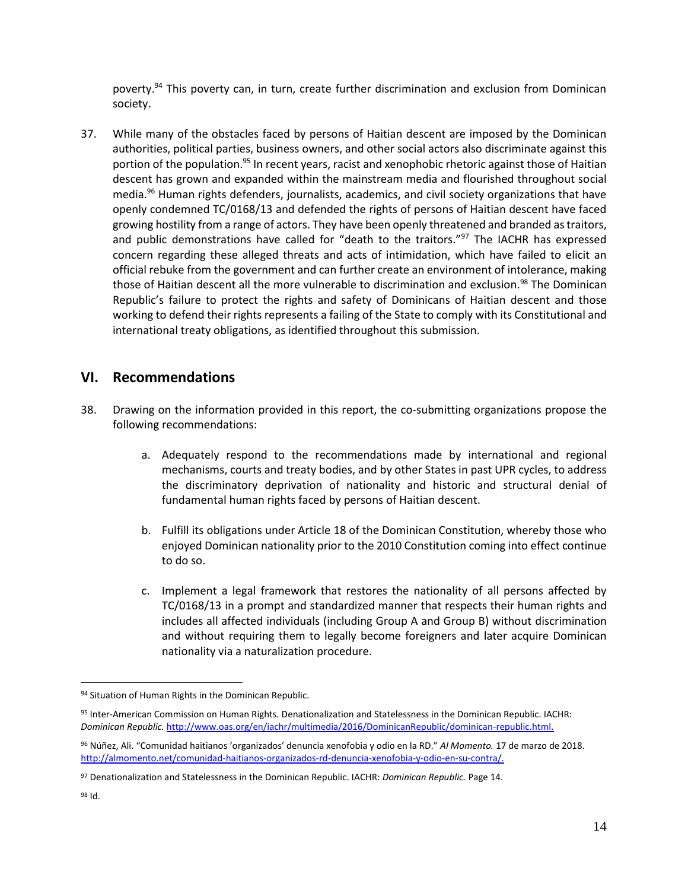poverty.<sup>94</sup> This poverty can, in turn, create further discrimination and exclusion from Dominican society.

37. While many of the obstacles faced by persons of Haitian descent are imposed by the Dominican authorities, political parties, business owners, and other social actors also discriminate against this portion of the population.<sup>95</sup> In recent years, racist and xenophobic rhetoric against those of Haitian descent has grown and expanded within the mainstream media and flourished throughout social media.<sup>96</sup> Human rights defenders, journalists, academics, and civil society organizations that have openly condemned TC/0168/13 and defended the rights of persons of Haitian descent have faced growing hostility from a range of actors. They have been openly threatened and branded as traitors, and public demonstrations have called for "death to the traitors."<sup>97</sup> The IACHR has expressed concern regarding these alleged threats and acts of intimidation, which have failed to elicit an official rebuke from the government and can further create an environment of intolerance, making those of Haitian descent all the more vulnerable to discrimination and exclusion.<sup>98</sup> The Dominican Republic's failure to protect the rights and safety of Dominicans of Haitian descent and those working to defend their rights represents a failing of the State to comply with its Constitutional and international treaty obligations, as identified throughout this submission.

#### **VI. Recommendations**

- 38. Drawing on the information provided in this report, the co-submitting organizations propose the following recommendations:
	- a. Adequately respond to the recommendations made by international and regional mechanisms, courts and treaty bodies, and by other States in past UPR cycles, to address the discriminatory deprivation of nationality and historic and structural denial of fundamental human rights faced by persons of Haitian descent.
	- b. Fulfill its obligations under Article 18 of the Dominican Constitution, whereby those who enjoyed Dominican nationality prior to the 2010 Constitution coming into effect continue to do so.
	- c. Implement a legal framework that restores the nationality of all persons affected by TC/0168/13 in a prompt and standardized manner that respects their human rights and includes all affected individuals (including Group A and Group B) without discrimination and without requiring them to legally become foreigners and later acquire Dominican nationality via a naturalization procedure.

<sup>94</sup> Situation of Human Rights in the Dominican Republic.

<sup>95</sup> Inter-American Commission on Human Rights. Denationalization and Statelessness in the Dominican Republic. IACHR: Dominican Republic. http://www.oas.org/en/iachr/multimedia/2016/DominicanRepublic/dominican-republic.html.

<sup>96</sup> Núñez, Ali. "Comunidad haitianos 'organizados' denuncia xenofobia y odio en la RD." *Al Momento.* 17 de marzo de 2018. [http://almomento.net/comunidad-haitianos-organizados-rd-denuncia-xenofobia-y-odio-en-su-contra/.](http://almomento.net/comunidad-haitianos-organizados-rd-denuncia-xenofobia-y-odio-en-su-contra/)

<sup>97</sup> Denationalization and Statelessness in the Dominican Republic. IACHR: *Dominican Republic.* Page 14.